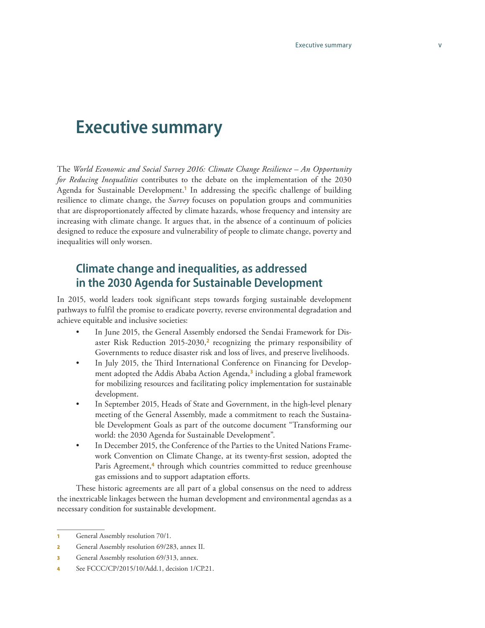# **Executive summary**

The *World Economic and Social Survey 2016: Climate Change Resilience – An Opportunity for Reducing Inequalities* contributes to the debate on the implementation of the 2030 Agenda for Sustainable Development.**<sup>1</sup>** In addressing the specific challenge of building resilience to climate change, the *Survey* focuses on population groups and communities that are disproportionately affected by climate hazards, whose frequency and intensity are increasing with climate change. It argues that, in the absence of a continuum of policies designed to reduce the exposure and vulnerability of people to climate change, poverty and inequalities will only worsen.

## **Climate change and inequalities, as addressed in the 2030 Agenda for Sustainable Development**

In 2015, world leaders took significant steps towards forging sustainable development pathways to fulfil the promise to eradicate poverty, reverse environmental degradation and achieve equitable and inclusive societies:

- In June 2015, the General Assembly endorsed the Sendai Framework for Disaster Risk Reduction 2015-2030,**<sup>2</sup>** recognizing the primary responsibility of Governments to reduce disaster risk and loss of lives, and preserve livelihoods.
- In July 2015, the Third International Conference on Financing for Development adopted the Addis Ababa Action Agenda,**<sup>3</sup>** including a global framework for mobilizing resources and facilitating policy implementation for sustainable development.
- In September 2015, Heads of State and Government, in the high-level plenary meeting of the General Assembly, made a commitment to reach the Sustainable Development Goals as part of the outcome document "Transforming our world: the 2030 Agenda for Sustainable Development".
- In December 2015, the Conference of the Parties to the United Nations Framework Convention on Climate Change, at its twenty-first session, adopted the Paris Agreement,<sup>4</sup> through which countries committed to reduce greenhouse gas emissions and to support adaptation efforts.

These historic agreements are all part of a global consensus on the need to address the inextricable linkages between the human development and environmental agendas as a necessary condition for sustainable development.

<sup>1</sup> General Assembly resolution 70/1.

<sup>2</sup> General Assembly resolution 69/283, annex II.

**<sup>3</sup>** General Assembly resolution 69/313, annex.

<sup>4</sup> See FCCC/CP/2015/10/Add.1, decision 1/CP.21.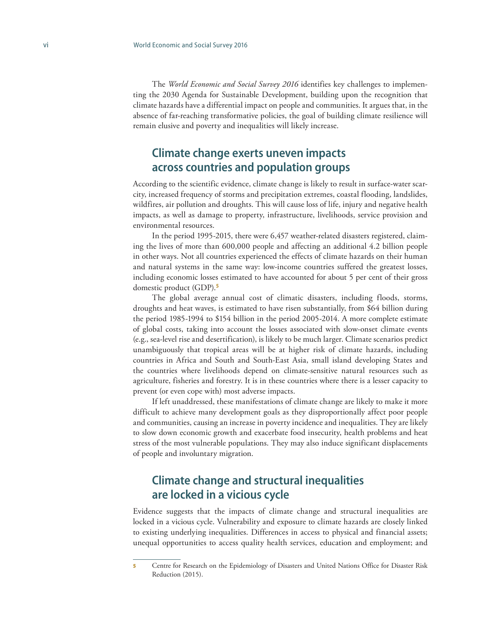The *World Economic and Social Survey 2016* identifies key challenges to implementing the 2030 Agenda for Sustainable Development, building upon the recognition that climate hazards have a differential impact on people and communities. It argues that, in the absence of far-reaching transformative policies, the goal of building climate resilience will remain elusive and poverty and inequalities will likely increase.

### **Climate change exerts uneven impacts across countries and population groups**

According to the scientific evidence, climate change is likely to result in surface-water scarcity, increased frequency of storms and precipitation extremes, coastal flooding, landslides, wildfires, air pollution and droughts. This will cause loss of life, injury and negative health impacts, as well as damage to property, infrastructure, livelihoods, service provision and environmental resources.

In the period 1995-2015, there were 6,457 weather-related disasters registered, claim ing the lives of more than 600,000 people and affecting an additional 4.2 billion people in other ways. Not all countries experienced the effects of climate hazards on their human and natural systems in the same way: low-income countries suffered the greatest losses, including economic losses estimated to have accounted for about 5 per cent of their gross domestic product (GDP).**<sup>5</sup>**

The global average annual cost of climatic disasters, including floods, storms, droughts and heat waves, is estimated to have risen substantially, from \$64 billion during the period 1985-1994 to \$154 billion in the period 2005-2014. A more complete estimate of global costs, taking into account the losses associated with slow-onset climate events (e.g., sea-level rise and desertification), is likely to be much larger. Climate scenarios predict unambiguously that tropical areas will be at higher risk of climate hazards, including countries in Africa and South and South-East Asia, small island developing States and the countries where livelihoods depend on climate-sensitive natural resources such as agriculture, fisheries and forestry. It is in these countries where there is a lesser capacity to prevent (or even cope with) most adverse impacts.

If left unaddressed, these manifestations of climate change are likely to make it more difficult to achieve many development goals as they disproportionally affect poor people and communities, causing an increase in poverty incidence and inequalities. They are likely to slow down economic growth and exacerbate food insecurity, health problems and heat stress of the most vulnerable populations. They may also induce significant displacements of people and involuntary migration.

### **Climate change and structural inequalities are locked in a vicious cycle**

Evidence suggests that the impacts of climate change and structural inequalities are locked in a vicious cycle. Vulnerability and exposure to climate hazards are closely linked to existing underlying inequalities. Differences in access to physical and financial assets; unequal opportunities to access quality health services, education and employment; and

<sup>5</sup> Centre for Research on the Epidemiology of Disasters and United Nations Office for Disaster Risk Reduction (2015).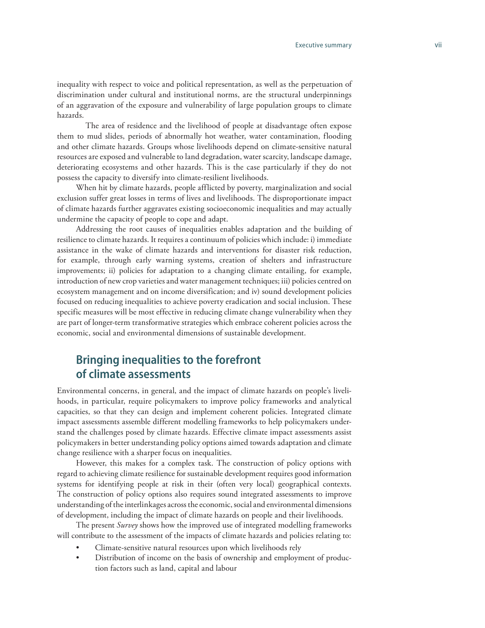inequality with respect to voice and political representation, as well as the perpetuation of discrimination under cultural and institutional norms, are the structural underpinnings of an aggravation of the exposure and vulnerability of large population groups to climate hazards.

The area of residence and the livelihood of people at disadvantage often expose them to mud slides, periods of abnormally hot weather, water contamination, flooding and other climate hazards. Groups whose livelihoods depend on climate-sensitive natural resources are exposed and vulnerable to land degradation, water scarcity, landscape damage, deteriorating ecosystems and other hazards. This is the case particularly if they do not possess the capacity to diversify into climate-resilient livelihoods.

When hit by climate hazards, people afflicted by poverty, marginalization and social exclusion suffer great losses in terms of lives and livelihoods. The disproportionate impact of climate hazards further aggravates existing socioeconomic inequalities and may actually undermine the capacity of people to cope and adapt.

Addressing the root causes of inequalities enables adaptation and the building of resilience to climate hazards. It requires a continuum of policies which include: i) immediate assistance in the wake of climate hazards and interventions for disaster risk reduction, for example, through early warning systems, creation of shelters and infrastructure improvements; ii) policies for adaptation to a changing climate entailing, for example, introduction of new crop varieties and water management techniques; iii) policies centred on ecosystem management and on income diversification; and iv) sound development policies focused on reducing inequalities to achieve poverty eradication and social inclusion. These specific measures will be most effective in reducing climate change vulnerability when they are part of longer-term transformative strategies which embrace coherent policies across the economic, social and environmental dimensions of sustainable development.

## **Bringing inequalities to the forefront of climate assessments**

Environmental concerns, in general, and the impact of climate hazards on people's livelihoods, in particular, require policymakers to improve policy frameworks and analytical capacities, so that they can design and implement coherent policies. Integrated climate impact assessments assemble different modelling frameworks to help policymakers understand the challenges posed by climate hazards. Effective climate impact assessments assist policymakers in better understanding policy options aimed towards adaptation and climate change resilience with a sharper focus on inequalities.

However, this makes for a complex task. The construction of policy options with regard to achieving climate resilience for sustainable development requires good information systems for identifying people at risk in their (often very local) geographical contexts. The construction of policy options also requires sound integrated assessments to improve understanding of the interlinkages across the economic, social and environmental dimensions of development, including the impact of climate hazards on people and their livelihoods.

The present *Survey* shows how the improved use of integrated modelling frameworks will contribute to the assessment of the impacts of climate hazards and policies relating to:

- Climate-sensitive natural resources upon which livelihoods rely
- Distribution of income on the basis of ownership and employment of production factors such as land, capital and labour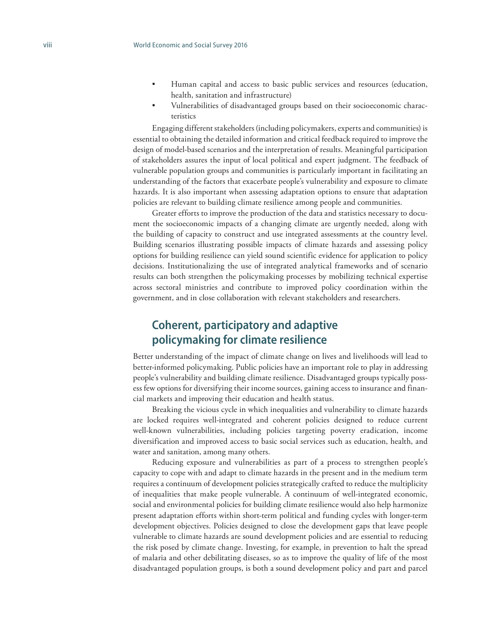- Human capital and access to basic public services and resources (education, health, sanitation and infrastructure)
- Vulnerabilities of disadvantaged groups based on their socioeconomic characteristics

Engaging different stakeholders (including policymakers, experts and communities) is essential to obtaining the detailed information and critical feedback required to improve the design of model-based scenarios and the interpretation of results. Meaningful participation of stakeholders assures the input of local political and expert judgment. The feedback of vulnerable population groups and communities is particularly important in facilitating an understanding of the factors that exacerbate people's vulnerability and exposure to climate hazards. It is also important when assessing adaptation options to ensure that adaptation policies are relevant to building climate resilience among people and communities.

Greater efforts to improve the production of the data and statistics necessary to document the socioeconomic impacts of a changing climate are urgently needed, along with the building of capacity to construct and use integrated assessments at the country level. Building scenarios illustrating possible impacts of climate hazards and assessing policy options for building resilience can yield sound scientific evidence for application to policy decisions. Institutionalizing the use of integrated analytical frameworks and of scenario results can both strengthen the policymaking processes by mobilizing technical expertise across sectoral ministries and contribute to improved policy coordination within the government, and in close collaboration with relevant stakeholders and researchers.

#### **Coherent, participatory and adaptive policymaking for climate resilience**

Better understanding of the impact of climate change on lives and livelihoods will lead to better-informed policymaking. Public policies have an important role to play in addressing people's vulnerability and building climate resilience. Disadvantaged groups typically possess few options for diversifying their income sources, gaining access to insurance and financial markets and improving their education and health status.

Breaking the vicious cycle in which inequalities and vulnerability to climate hazards are locked requires well-integrated and coherent policies designed to reduce current well-known vulnerabilities, including policies targeting poverty eradication, income diversification and improved access to basic social services such as education, health, and water and sanitation, among many others.

Reducing exposure and vulnerabilities as part of a process to strengthen people's capacity to cope with and adapt to climate hazards in the present and in the medium term requires a continuum of development policies strategically crafted to reduce the multiplicity of inequalities that make people vulnerable. A continuum of well-integrated economic, social and environmental policies for building climate resilience would also help harmonize present adaptation efforts within short-term political and funding cycles with longer-term development objectives. Policies designed to close the development gaps that leave people vulnerable to climate hazards are sound development policies and are essential to reducing the risk posed by climate change. Investing, for example, in prevention to halt the spread of malaria and other debilitating diseases, so as to improve the quality of life of the most disadvantaged population groups, is both a sound development policy and part and parcel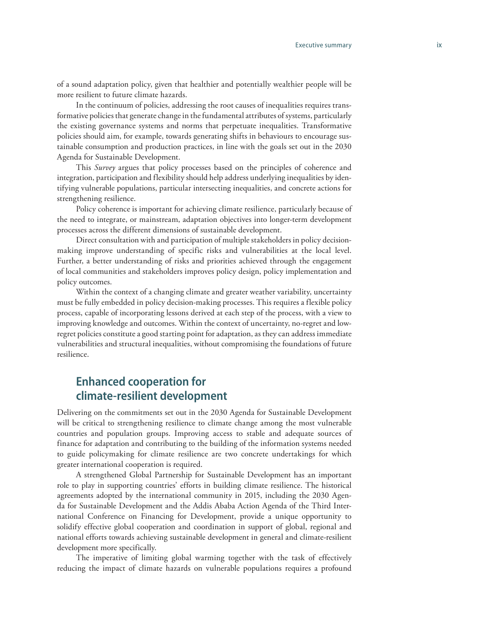of a sound adaptation policy, given that healthier and potentially wealthier people will be more resilient to future climate hazards.

In the continuum of policies, addressing the root causes of inequalities requires transformative policies that generate change in the fundamental attributes of systems, particularly the existing governance systems and norms that perpetuate inequalities. Transformative policies should aim, for example, towards generating shifts in behaviours to encourage sustainable consumption and production practices, in line with the goals set out in the 2030 Agenda for Sustainable Development.

This *Survey* argues that policy processes based on the principles of coherence and integration, participation and flexibility should help address underlying inequalities by identifying vulnerable populations, particular intersecting inequalities, and concrete actions for strengthening resilience.

Policy coherence is important for achieving climate resilience, particularly because of the need to integrate, or mainstream, adaptation objectives into longer-term development processes across the different dimensions of sustainable development.

Direct consultation with and participation of multiple stakeholders in policy decisionmaking improve understanding of specific risks and vulnerabilities at the local level. Further, a better understanding of risks and priorities achieved through the engagement of local communities and stakeholders improves policy design, policy implementation and policy outcomes.

Within the context of a changing climate and greater weather variability, uncertainty must be fully embedded in policy decision-making processes. This requires a flexible policy process, capable of incorporating lessons derived at each step of the process, with a view to improving knowledge and outcomes. Within the context of uncertainty, no-regret and lowregret policies constitute a good starting point for adaptation, as they can address immediate vulnerabilities and structural inequalities, without compromising the foundations of future resilience.

### **Enhanced cooperation for climate-resilient development**

Delivering on the commitments set out in the 2030 Agenda for Sustainable Development will be critical to strengthening resilience to climate change among the most vulnerable countries and population groups. Improving access to stable and adequate sources of finance for adaptation and contributing to the building of the information systems needed to guide policymaking for climate resilience are two concrete undertakings for which greater international cooperation is required.

A strengthened Global Partnership for Sustainable Development has an important role to play in supporting countries' efforts in building climate resilience. The historical agreements adopted by the international community in 2015, including the 2030 Agenda for Sustainable Development and the Addis Ababa Action Agenda of the Third International Conference on Financing for Development, provide a unique opportunity to solidify effective global cooperation and coordination in support of global, regional and national efforts towards achieving sustainable development in general and climate-resilient development more specifically.

The imperative of limiting global warming together with the task of effectively reducing the impact of climate hazards on vulnerable populations requires a profound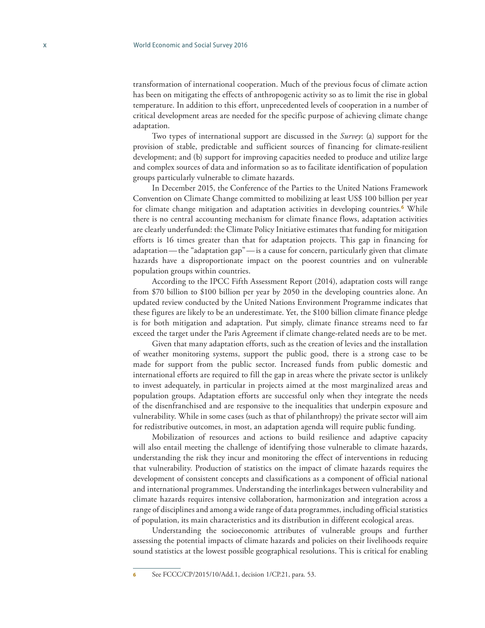transformation of international cooperation. Much of the previous focus of climate action has been on mitigating the effects of anthropogenic activity so as to limit the rise in global temperature. In addition to this effort, unprecedented levels of cooperation in a number of critical development areas are needed for the specific purpose of achieving climate change adaptation.

Two types of international support are discussed in the *Survey*: (a) support for the provision of stable, predictable and sufficient sources of financing for climate-resilient development; and (b) support for improving capacities needed to produce and utilize large and complex sources of data and information so as to facilitate identification of population groups particularly vulnerable to climate hazards.

In December 2015, the Conference of the Parties to the United Nations Framework Convention on Climate Change committed to mobilizing at least US\$ 100 billion per year for climate change mitigation and adaptation activities in developing countries.**<sup>6</sup>** While there is no central accounting mechanism for climate finance flows, adaptation activities are clearly underfunded: the Climate Policy Initiative estimates that funding for mitigation efforts is 16 times greater than that for adaptation projects. This gap in financing for adaptation—the "adaptation gap"—is a cause for concern, particularly given that climate hazards have a disproportionate impact on the poorest countries and on vulnerable population groups within countries.

According to the IPCC Fifth Assessment Report (2014), adaptation costs will range from \$70 billion to \$100 billion per year by 2050 in the developing countries alone. An updated review conducted by the United Nations Environment Programme indicates that these figures are likely to be an underestimate. Yet, the \$100 billion climate finance pledge is for both mitigation and adaptation. Put simply, climate finance streams need to far exceed the target under the Paris Agreement if climate change-related needs are to be met.

Given that many adaptation efforts, such as the creation of levies and the installation of weather monitoring systems, support the public good, there is a strong case to be made for support from the public sector. Increased funds from public domestic and international efforts are required to fill the gap in areas where the private sector is unlikely to invest adequately, in particular in projects aimed at the most marginalized areas and population groups. Adaptation efforts are successful only when they integrate the needs of the disenfranchised and are responsive to the inequalities that underpin exposure and vulnerability. While in some cases (such as that of philanthropy) the private sector will aim for redistributive outcomes, in most, an adaptation agenda will require public funding.

Mobilization of resources and actions to build resilience and adaptive capacity will also entail meeting the challenge of identifying those vulnerable to climate hazards, understanding the risk they incur and monitoring the effect of interventions in reducing that vulnerability. Production of statistics on the impact of climate hazards requires the development of consistent concepts and classifications as a component of official national and international programmes. Understanding the interlinkages between vulnerability and climate hazards requires intensive collaboration, harmonization and integration across a range of disciplines and among a wide range of data programmes, including official statistics of population, its main characteristics and its distribution in different ecological areas.

Understanding the socioeconomic attributes of vulnerable groups and further assessing the potential impacts of climate hazards and policies on their livelihoods require sound statistics at the lowest possible geographical resolutions. This is critical for enabling

See [FCCC/CP/2015/10/Add.1,](http://undocs.org/FCCC/CP/2015/10/Add.1) decision 1/CP.21, para. 53.